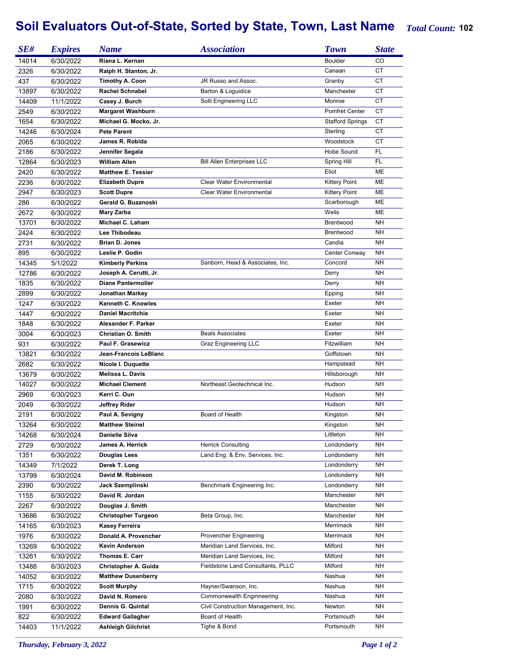## **Soil Evaluators Out-of-State, Sorted by State, Town, Last Name** *Total Count:* **<sup>102</sup>**

| SE#   | <b>Expires</b> | <b>Name</b>                | <b>Association</b>                  | <b>Town</b>             | <b>State</b> |
|-------|----------------|----------------------------|-------------------------------------|-------------------------|--------------|
| 14014 | 6/30/2022      | Riana L. Kernan            |                                     | <b>Boulder</b>          | CO           |
| 2326  | 6/30/2022      | Ralph H. Stanton, Jr.      |                                     | Canaan                  | CT           |
| 437   | 6/30/2022      | <b>Timothy A. Coon</b>     | JR Russo and Assoc.                 | Granby                  | СT           |
| 13897 | 6/30/2022      | <b>Rachel Schnabel</b>     | Barton & Loguidice                  | Manchester              | CT           |
| 14409 | 11/1/2022      | Casey J. Burch             | Solli Engineering LLC               | Monroe                  | CT           |
| 2549  | 6/30/2022      | <b>Margaret Washburn</b>   |                                     | Pomfret Center          | СT           |
| 1654  | 6/30/2022      | Michael G. Mocko, Jr.      |                                     | <b>Stafford Springs</b> | <b>CT</b>    |
| 14246 | 6/30/2024      | <b>Pete Parent</b>         |                                     | Sterling                | <b>CT</b>    |
| 2065  | 6/30/2022      | James R. Robida            |                                     | Woodstock               | <b>CT</b>    |
| 2186  | 6/30/2022      | Jennifer Segala            |                                     | Hobe Sound              | FL           |
| 12864 | 6/30/2023      | <b>William Allen</b>       | <b>Bill Allen Enterprises LLC</b>   | Spring Hill             | FL           |
| 2420  | 6/30/2022      | <b>Matthew E. Tessier</b>  |                                     | Eliot                   | ME           |
| 2236  | 6/30/2022      | <b>Elizabeth Dupre</b>     | <b>Clear Water Environmental</b>    | <b>Kittery Point</b>    | ME           |
| 2947  | 6/30/2023      | <b>Scott Dupre</b>         | <b>Clear Water Environmental</b>    | <b>Kittery Point</b>    | ME           |
| 286   | 6/30/2022      | Gerald G. Buzanoski        |                                     | Scarborough             | ME           |
| 2672  | 6/30/2022      | Mary Zarba                 |                                     | Wells                   | ME           |
| 13701 | 6/30/2022      | Michael C. Laham           |                                     | Brentwood               | <b>NH</b>    |
| 2424  | 6/30/2022      | Lee Thibodeau              |                                     | Brentwood               | NΗ           |
| 2731  | 6/30/2022      | <b>Brian D. Jones</b>      |                                     | Candia                  | <b>NH</b>    |
| 895   | 6/30/2022      | Leslie P. Godin            |                                     | Center Conway           | NΗ           |
| 14345 | 5/1/2022       | <b>Kimberly Perkins</b>    | Sanborn, Head & Associates, Inc.    | Concord                 | NΗ           |
| 12786 | 6/30/2022      | Joseph A. Cerutti, Jr.     |                                     | Derry                   | NΗ           |
| 1835  | 6/30/2022      | <b>Diane Pantermoller</b>  |                                     | Derry                   | NΗ           |
| 2899  | 6/30/2022      | Jonathan Markey            |                                     | Epping                  | NΗ           |
| 1247  | 6/30/2022      | Kenneth C. Knowles         |                                     | Exeter                  | <b>NH</b>    |
| 1447  | 6/30/2022      | <b>Daniel Macritchie</b>   |                                     | Exeter                  | <b>NH</b>    |
| 1848  | 6/30/2022      | Alexander F. Parker        |                                     | Exeter                  | <b>NH</b>    |
| 3004  | 6/30/2023      | <b>Christian O. Smith</b>  | <b>Beals Associates</b>             | Exeter                  | <b>NH</b>    |
| 931   | 6/30/2022      | <b>Paul F. Grasewicz</b>   | <b>Graz Engineering LLC</b>         | Fitzwilliam             | <b>NH</b>    |
| 13821 | 6/30/2022      | Jean-Francois LeBlanc      |                                     | Goffstown               | <b>NH</b>    |
| 2682  | 6/30/2022      | Nicole I. Duquette         |                                     | Hampstead               | <b>NH</b>    |
| 13679 | 6/30/2022      | <b>Melissa L. Davis</b>    |                                     | Hillsborough            | <b>NH</b>    |
| 14027 | 6/30/2022      | <b>Michael Clement</b>     | Northeast Geotechnical Inc.         | Hudson                  | <b>NH</b>    |
| 2969  | 6/30/2023      | Kerri C. Oun               |                                     | Hudson                  | <b>NH</b>    |
| 2049  | 6/30/2022      | Jeffrey Rider              |                                     | Hudson                  | <b>NH</b>    |
| 2191  | 6/30/2022      | Paul A. Sevigny            | Board of Health                     | Kingston                | <b>NH</b>    |
| 13264 | 6/30/2022      | <b>Matthew Steinel</b>     |                                     | Kingston                | <b>NH</b>    |
| 14268 | 6/30/2024      | Danielle Silva             |                                     | Littleton               | <b>NH</b>    |
| 2729  | 6/30/2022      | James A. Herrick           | <b>Herrick Consulting</b>           | Londonderry             | <b>NH</b>    |
| 1351  | 6/30/2022      | Douglas Lees               | Land Eng. & Env. Services, Inc.     | Londonderry             | <b>NH</b>    |
| 14349 | 7/1/2022       | Derek T. Long              |                                     | Londonderry             | <b>NH</b>    |
| 13799 | 6/30/2024      | David M. Robinson          |                                     | Londonderry             | <b>NH</b>    |
| 2390  | 6/30/2022      | Jack Szemplinski           | Benchmark Engineering Inc.          | Londonderry             | <b>NH</b>    |
| 1155  | 6/30/2022      | David R. Jordan            |                                     | Manchester              | NH           |
| 2267  | 6/30/2022      | Douglas J. Smith           |                                     | Manchester              | NΗ           |
| 13686 | 6/30/2022      | <b>Christopher Turgeon</b> | Beta Group, Inc.                    | Manchester              | NΗ           |
| 14165 | 6/30/2023      | <b>Kasey Ferreira</b>      |                                     | Merrimack               | NΗ           |
| 1976  | 6/30/2022      | Donald A. Provencher       | Provencher Engineering              | Merrimack               | NΗ           |
| 13269 | 6/30/2022      | <b>Kevin Anderson</b>      | Meridian Land Services, Inc.        | Milford                 | NΗ           |
| 13261 | 6/30/2022      | Thomas E. Carr             | Meridian Land Services, Inc.        | Milford                 | <b>NH</b>    |
| 13488 | 6/30/2023      | Christopher A. Guida       | Fieldstone Land Consultants, PLLC   | Milford                 | <b>NH</b>    |
| 14052 | 6/30/2022      | <b>Matthew Dusenberry</b>  |                                     | Nashua                  | NH           |
| 1715  | 6/30/2022      | <b>Scott Murphy</b>        | Hayner/Swanson, Inc.                | Nashua                  | NH           |
| 2080  | 6/30/2022      | David N. Romero            | Commonwealth Enginneering           | Nashua                  | NH           |
| 1991  | 6/30/2022      | Dennis G. Quintal          | Civil Construction Management, Inc. | Newton                  | NH           |
| 822   | 6/30/2022      | <b>Edward Gallagher</b>    | Board of Health                     | Portsmouth              | NΗ           |
| 14403 | 11/1/2022      | <b>Ashleigh Gilchrist</b>  | Tighe & Bond                        | Portsmouth              | NH           |